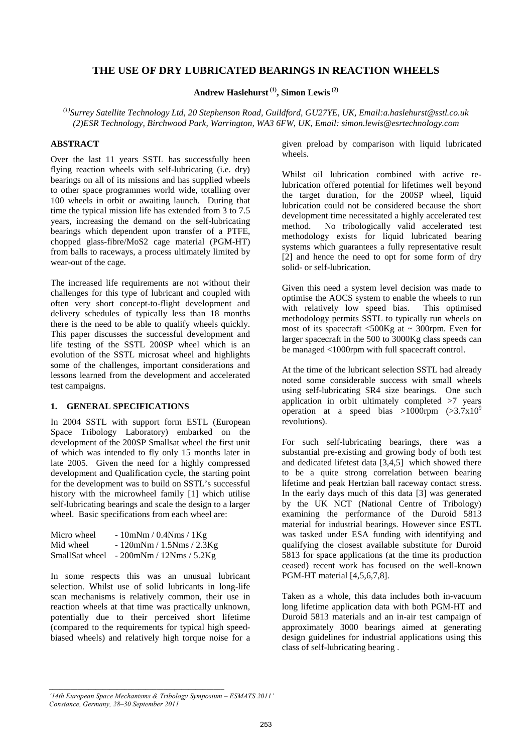# **THE USE OF DRY LUBRICATED BEARINGS IN REACTION WHEELS**

# **Andrew Haslehurst (1), Simon Lewis (2)**

*(1)Surrey Satellite Technology Ltd, 20 Stephenson Road, Guildford, GU27YE, UK, Email:a.haslehurst@sstl.co.uk (2)ESR Technology, Birchwood Park, Warrington, WA3 6FW, UK, Email: simon.lewis@esrtechnology.com* 

## **ABSTRACT**

Over the last 11 years SSTL has successfully been flying reaction wheels with self-lubricating (i.e. dry) bearings on all of its missions and has supplied wheels to other space programmes world wide, totalling over 100 wheels in orbit or awaiting launch. During that time the typical mission life has extended from 3 to 7.5 years, increasing the demand on the self-lubricating bearings which dependent upon transfer of a PTFE, chopped glass-fibre/MoS2 cage material (PGM-HT) from balls to raceways, a process ultimately limited by wear-out of the cage.

The increased life requirements are not without their challenges for this type of lubricant and coupled with often very short concept-to-flight development and delivery schedules of typically less than 18 months there is the need to be able to qualify wheels quickly. This paper discusses the successful development and life testing of the SSTL 200SP wheel which is an evolution of the SSTL microsat wheel and highlights some of the challenges, important considerations and lessons learned from the development and accelerated test campaigns.

#### **1. GENERAL SPECIFICATIONS**

In 2004 SSTL with support form ESTL (European Space Tribology Laboratory) embarked on the development of the 200SP Smallsat wheel the first unit of which was intended to fly only 15 months later in late 2005. Given the need for a highly compressed development and Qualification cycle, the starting point for the development was to build on SSTL's successful history with the microwheel family [1] which utilise self-lubricating bearings and scale the design to a larger wheel. Basic specifications from each wheel are:

| Micro wheel    | $-10$ mNm / 0.4Nms / 1Kg    |
|----------------|-----------------------------|
| Mid wheel      | $-120$ mNm / 1.5Nms / 2.3Kg |
| SmallSat wheel | $-200$ mNm / 12Nms / 5.2Kg  |

In some respects this was an unusual lubricant selection. Whilst use of solid lubricants in long-life scan mechanisms is relatively common, their use in reaction wheels at that time was practically unknown, potentially due to their perceived short lifetime (compared to the requirements for typical high speedbiased wheels) and relatively high torque noise for a given preload by comparison with liquid lubricated wheels.

Whilst oil lubrication combined with active relubrication offered potential for lifetimes well beyond the target duration, for the 200SP wheel, liquid lubrication could not be considered because the short development time necessitated a highly accelerated test method. No tribologically valid accelerated test methodology exists for liquid lubricated bearing systems which guarantees a fully representative result [2] and hence the need to opt for some form of dry solid- or self-lubrication.

Given this need a system level decision was made to optimise the AOCS system to enable the wheels to run with relatively low speed bias. This optimised methodology permits SSTL to typically run wheels on most of its spacecraft  $\langle 500 \text{Kg} \rangle$  at  $\sim 300$ rpm. Even for larger spacecraft in the 500 to 3000Kg class speeds can be managed <1000rpm with full spacecraft control.

At the time of the lubricant selection SSTL had already noted some considerable success with small wheels using self-lubricating SR4 size bearings. One such application in orbit ultimately completed >7 years operation at a speed bias >1000rpm  $(>3.7 \times 10^{9}$ revolutions).

For such self-lubricating bearings, there was a substantial pre-existing and growing body of both test and dedicated lifetest data [3,4,5] which showed there to be a quite strong correlation between bearing lifetime and peak Hertzian ball raceway contact stress. In the early days much of this data [3] was generated by the UK NCT (National Centre of Tribology) examining the performance of the Duroid 5813 material for industrial bearings. However since ESTL was tasked under ESA funding with identifying and qualifying the closest available substitute for Duroid 5813 for space applications (at the time its production ceased) recent work has focused on the well-known PGM-HT material [4,5,6,7,8].

Taken as a whole, this data includes both in-vacuum long lifetime application data with both PGM-HT and Duroid 5813 materials and an in-air test campaign of approximately 3000 bearings aimed at generating design guidelines for industrial applications using this class of self-lubricating bearing .

*<sup>&#</sup>x27;14th European Space Mechanisms & Tribology Symposium – ESMATS 2011' Constance, Germany, 28–30 September 2011*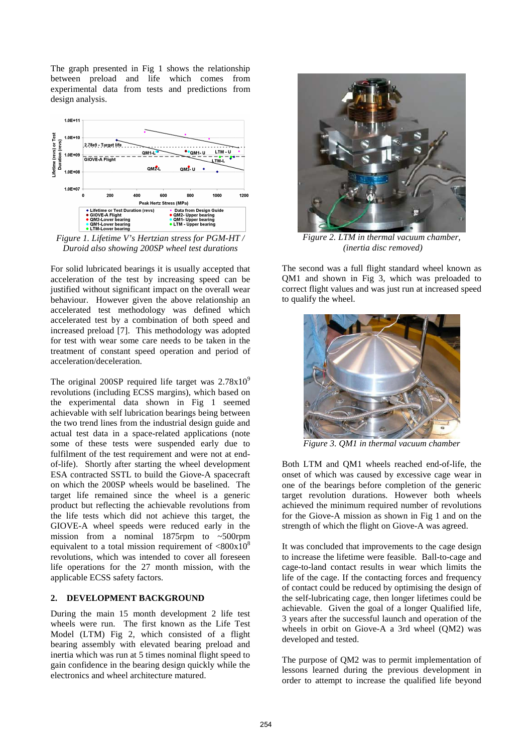The graph presented in Fig 1 shows the relationship between preload and life which comes from experimental data from tests and predictions from design analysis.



*Figure 1. Lifetime V's Hertzian stress for PGM-HT / Duroid also showing 200SP wheel test durations* 

For solid lubricated bearings it is usually accepted that acceleration of the test by increasing speed can be justified without significant impact on the overall wear behaviour. However given the above relationship an accelerated test methodology was defined which accelerated test by a combination of both speed and increased preload [7]. This methodology was adopted for test with wear some care needs to be taken in the treatment of constant speed operation and period of acceleration/deceleration.

The original 200SP required life target was  $2.78x10^9$ revolutions (including ECSS margins), which based on the experimental data shown in Fig 1 seemed achievable with self lubrication bearings being between the two trend lines from the industrial design guide and actual test data in a space-related applications (note some of these tests were suspended early due to fulfilment of the test requirement and were not at endof-life). Shortly after starting the wheel development ESA contracted SSTL to build the Giove-A spacecraft on which the 200SP wheels would be baselined. The target life remained since the wheel is a generic product but reflecting the achievable revolutions from the life tests which did not achieve this target, the GIOVE-A wheel speeds were reduced early in the mission from a nominal 1875rpm to ~500rpm equivalent to a total mission requirement of  $\langle 800x10^8 \rangle$ revolutions, which was intended to cover all foreseen life operations for the 27 month mission, with the applicable ECSS safety factors.

## **2. DEVELOPMENT BACKGROUND**

During the main 15 month development 2 life test wheels were run. The first known as the Life Test Model (LTM) Fig 2, which consisted of a flight bearing assembly with elevated bearing preload and inertia which was run at 5 times nominal flight speed to gain confidence in the bearing design quickly while the electronics and wheel architecture matured.



*Figure 2. LTM in thermal vacuum chamber, (inertia disc removed)* 

The second was a full flight standard wheel known as QM1 and shown in Fig 3, which was preloaded to correct flight values and was just run at increased speed to qualify the wheel.



*Figure 3. QM1 in thermal vacuum chamber* 

Both LTM and QM1 wheels reached end-of-life, the onset of which was caused by excessive cage wear in one of the bearings before completion of the generic target revolution durations. However both wheels achieved the minimum required number of revolutions for the Giove-A mission as shown in Fig 1 and on the strength of which the flight on Giove-A was agreed.

It was concluded that improvements to the cage design to increase the lifetime were feasible. Ball-to-cage and cage-to-land contact results in wear which limits the life of the cage. If the contacting forces and frequency of contact could be reduced by optimising the design of the self-lubricating cage, then longer lifetimes could be achievable. Given the goal of a longer Qualified life, 3 years after the successful launch and operation of the wheels in orbit on Giove-A a 3rd wheel (QM2) was developed and tested.

The purpose of QM2 was to permit implementation of lessons learned during the previous development in order to attempt to increase the qualified life beyond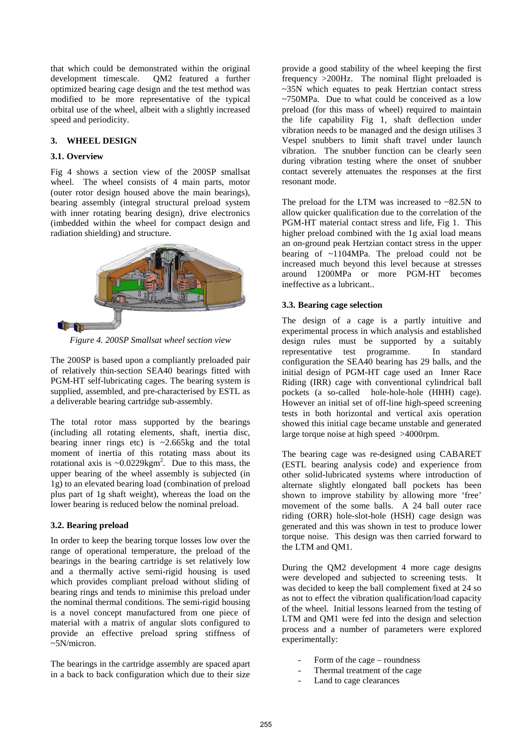that which could be demonstrated within the original development timescale. QM2 featured a further optimized bearing cage design and the test method was modified to be more representative of the typical orbital use of the wheel, albeit with a slightly increased speed and periodicity.

## **3. WHEEL DESIGN**

#### **3.1. Overview**

Fig 4 shows a section view of the 200SP smallsat wheel. The wheel consists of 4 main parts, motor (outer rotor design housed above the main bearings), bearing assembly (integral structural preload system with inner rotating bearing design), drive electronics (imbedded within the wheel for compact design and radiation shielding) and structure.



*Figure 4. 200SP Smallsat wheel section view* 

The 200SP is based upon a compliantly preloaded pair of relatively thin-section SEA40 bearings fitted with PGM-HT self-lubricating cages. The bearing system is supplied, assembled, and pre-characterised by ESTL as a deliverable bearing cartridge sub-assembly.

The total rotor mass supported by the bearings (including all rotating elements, shaft, inertia disc, bearing inner rings etc) is  $\sim$ 2.665kg and the total moment of inertia of this rotating mass about its rotational axis is  $\sim 0.0229 \text{kgm}^2$ . Due to this mass, the upper bearing of the wheel assembly is subjected (in 1g) to an elevated bearing load (combination of preload plus part of 1g shaft weight), whereas the load on the lower bearing is reduced below the nominal preload.

## **3.2. Bearing preload**

In order to keep the bearing torque losses low over the range of operational temperature, the preload of the bearings in the bearing cartridge is set relatively low and a thermally active semi-rigid housing is used which provides compliant preload without sliding of bearing rings and tends to minimise this preload under the nominal thermal conditions. The semi-rigid housing is a novel concept manufactured from one piece of material with a matrix of angular slots configured to provide an effective preload spring stiffness of  $~5N/micron.$ 

The bearings in the cartridge assembly are spaced apart in a back to back configuration which due to their size

provide a good stability of the wheel keeping the first frequency >200Hz. The nominal flight preloaded is ~35N which equates to peak Hertzian contact stress ~750MPa. Due to what could be conceived as a low preload (for this mass of wheel) required to maintain the life capability Fig 1, shaft deflection under vibration needs to be managed and the design utilises 3 Vespel snubbers to limit shaft travel under launch vibration. The snubber function can be clearly seen during vibration testing where the onset of snubber contact severely attenuates the responses at the first resonant mode.

The preload for the LTM was increased to  $\sim 82.5N$  to allow quicker qualification due to the correlation of the PGM-HT material contact stress and life, Fig 1. This higher preload combined with the 1g axial load means an on-ground peak Hertzian contact stress in the upper bearing of ~1104MPa. The preload could not be increased much beyond this level because at stresses around 1200MPa or more PGM-HT becomes ineffective as a lubricant..

#### **3.3. Bearing cage selection**

The design of a cage is a partly intuitive and experimental process in which analysis and established design rules must be supported by a suitably representative test programme. In standard configuration the SEA40 bearing has 29 balls, and the initial design of PGM-HT cage used an Inner Race Riding (IRR) cage with conventional cylindrical ball pockets (a so-called hole-hole-hole (HHH) cage). However an initial set of off-line high-speed screening tests in both horizontal and vertical axis operation showed this initial cage became unstable and generated large torque noise at high speed >4000rpm.

The bearing cage was re-designed using CABARET (ESTL bearing analysis code) and experience from other solid-lubricated systems where introduction of alternate slightly elongated ball pockets has been shown to improve stability by allowing more 'free' movement of the some balls. A 24 ball outer race riding (ORR) hole-slot-hole (HSH) cage design was generated and this was shown in test to produce lower torque noise. This design was then carried forward to the LTM and QM1.

During the QM2 development 4 more cage designs were developed and subjected to screening tests. It was decided to keep the ball complement fixed at 24 so as not to effect the vibration qualification/load capacity of the wheel. Initial lessons learned from the testing of LTM and QM1 were fed into the design and selection process and a number of parameters were explored experimentally:

- Form of the cage roundness
- Thermal treatment of the cage
- Land to cage clearances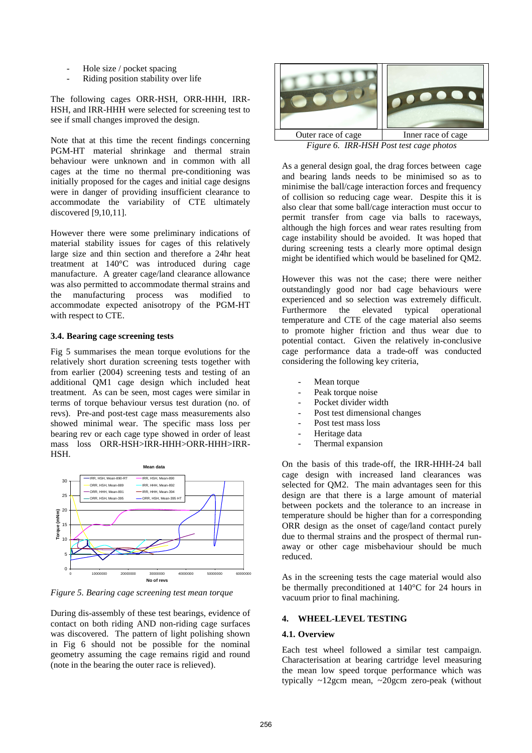- Hole size / pocket spacing
- Riding position stability over life

The following cages ORR-HSH, ORR-HHH, IRR-HSH, and IRR-HHH were selected for screening test to see if small changes improved the design.

Note that at this time the recent findings concerning PGM-HT material shrinkage and thermal strain behaviour were unknown and in common with all cages at the time no thermal pre-conditioning was initially proposed for the cages and initial cage designs were in danger of providing insufficient clearance to accommodate the variability of CTE ultimately discovered [9,10,11].

However there were some preliminary indications of material stability issues for cages of this relatively large size and thin section and therefore a 24hr heat treatment at 140°C was introduced during cage manufacture. A greater cage/land clearance allowance was also permitted to accommodate thermal strains and the manufacturing process was modified to accommodate expected anisotropy of the PGM-HT with respect to CTE.

#### **3.4. Bearing cage screening tests**

Fig 5 summarises the mean torque evolutions for the relatively short duration screening tests together with from earlier (2004) screening tests and testing of an additional QM1 cage design which included heat treatment. As can be seen, most cages were similar in terms of torque behaviour versus test duration (no. of revs). Pre-and post-test cage mass measurements also showed minimal wear. The specific mass loss per bearing rev or each cage type showed in order of least mass loss ORR-HSH>IRR-HHH>ORR-HHH>IRR-HSH.



*Figure 5. Bearing cage screening test mean torque* 

During dis-assembly of these test bearings, evidence of contact on both riding AND non-riding cage surfaces was discovered. The pattern of light polishing shown in Fig 6 should not be possible for the nominal geometry assuming the cage remains rigid and round (note in the bearing the outer race is relieved).



*Figure 6. IRR-HSH Post test cage photos* 

As a general design goal, the drag forces between cage and bearing lands needs to be minimised so as to minimise the ball/cage interaction forces and frequency of collision so reducing cage wear. Despite this it is also clear that some ball/cage interaction must occur to permit transfer from cage via balls to raceways, although the high forces and wear rates resulting from cage instability should be avoided. It was hoped that during screening tests a clearly more optimal design might be identified which would be baselined for QM2.

However this was not the case; there were neither outstandingly good nor bad cage behaviours were experienced and so selection was extremely difficult. Furthermore the elevated typical operational temperature and CTE of the cage material also seems to promote higher friction and thus wear due to potential contact. Given the relatively in-conclusive cage performance data a trade-off was conducted considering the following key criteria,

- Mean torque
- Peak torque noise
- Pocket divider width
- Post test dimensional changes
- Post test mass loss
- Heritage data
- Thermal expansion

On the basis of this trade-off, the IRR-HHH-24 ball cage design with increased land clearances was selected for QM2. The main advantages seen for this design are that there is a large amount of material between pockets and the tolerance to an increase in temperature should be higher than for a corresponding ORR design as the onset of cage/land contact purely due to thermal strains and the prospect of thermal runaway or other cage misbehaviour should be much reduced.

As in the screening tests the cage material would also be thermally preconditioned at 140°C for 24 hours in vacuum prior to final machining.

## **4. WHEEL-LEVEL TESTING**

## **4.1. Overview**

Each test wheel followed a similar test campaign. Characterisation at bearing cartridge level measuring the mean low speed torque performance which was typically ~12gcm mean, ~20gcm zero-peak (without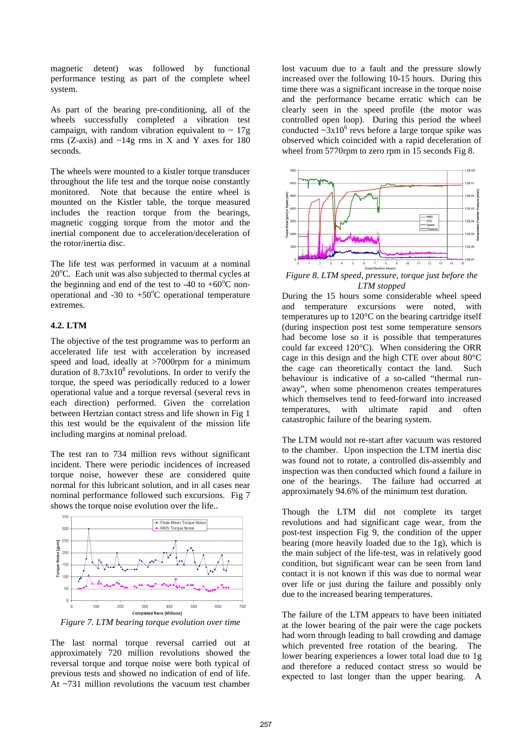magnetic detent) was followed by functional performance testing as part of the complete wheel system.

As part of the bearing pre-conditioning, all of the wheels successfully completed a vibration test campaign, with random vibration equivalent to  $\sim 17$ g rms (Z-axis) and  $\sim$ 14g rms in X and Y axes for 180 seconds.

The wheels were mounted to a kistler torque transducer throughout the life test and the torque noise constantly monitored. Note that because the entire wheel is mounted on the Kistler table, the torque measured includes the reaction torque from the bearings, magnetic cogging torque from the motor and the inertial component due to acceleration/deceleration of the rotor/inertia disc.

The life test was performed in vacuum at a nominal 20°C. Each unit was also subjected to thermal cycles at the beginning and end of the test to -40 to +60 $^{\circ}$ C nonoperational and -30 to  $+50^{\circ}$ C operational temperature extremes.

#### **4.2. LTM**

The objective of the test programme was to perform an accelerated life test with acceleration by increased speed and load, ideally at >7000rpm for a minimum duration of  $8.73 \times 10^8$  revolutions. In order to verify the torque, the speed was periodically reduced to a lower operational value and a torque reversal (several revs in each direction) performed. Given the correlation between Hertzian contact stress and life shown in Fig 1 this test would be the equivalent of the mission life including margins at nominal preload.

The test ran to 734 million revs without significant incident. There were periodic incidences of increased torque noise, however these are considered quite normal for this lubricant solution, and in all cases near nominal performance followed such excursions. Fig 7 shows the torque noise evolution over the life..



*Figure 7. LTM bearing torque evolution over time* 

The last normal torque reversal carried out at approximately 720 million revolutions showed the reversal torque and torque noise were both typical of previous tests and showed no indication of end of life. At ~731 million revolutions the vacuum test chamber

lost vacuum due to a fault and the pressure slowly increased over the following 10-15 hours. During this time there was a significant increase in the torque noise and the performance became erratic which can be clearly seen in the speed profile (the motor was controlled open loop). During this period the wheel conducted  $\sim 3x10^6$  revs before a large torque spike was observed which coincided with a rapid deceleration of wheel from 5770rpm to zero rpm in 15 seconds Fig 8.



*Figure 8. LTM speed, pressure, torque just before the LTM stopped* 

During the 15 hours some considerable wheel speed and temperature excursions were noted, with temperatures up to 120°C on the bearing cartridge itself (during inspection post test some temperature sensors had become lose so it is possible that temperatures could far exceed 120°C). When considering the ORR cage in this design and the high CTE over about 80°C the cage can theoretically contact the land. Such behaviour is indicative of a so-called "thermal runaway", when some phenomenon creates temperatures which themselves tend to feed-forward into increased temperatures, with ultimate rapid and often catastrophic failure of the bearing system.

The LTM would not re-start after vacuum was restored to the chamber. Upon inspection the LTM inertia disc was found not to rotate, a controlled dis-assembly and inspection was then conducted which found a failure in one of the bearings. The failure had occurred at approximately 94.6% of the minimum test duration.

Though the LTM did not complete its target revolutions and had significant cage wear, from the post-test inspection Fig 9, the condition of the upper bearing (more heavily loaded due to the 1g), which is the main subject of the life-test, was in relatively good condition, but significant wear can be seen from land contact it is not known if this was due to normal wear over life or just during the failure and possibly only due to the increased bearing temperatures.

The failure of the LTM appears to have been initiated at the lower bearing of the pair were the cage pockets had worn through leading to ball crowding and damage which prevented free rotation of the bearing. The lower bearing experiences a lower total load due to 1g and therefore a reduced contact stress so would be expected to last longer than the upper bearing. A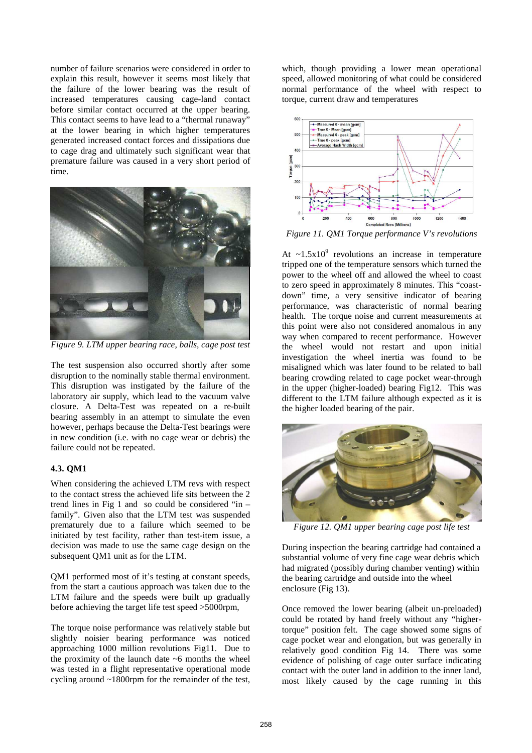number of failure scenarios were considered in order to explain this result, however it seems most likely that the failure of the lower bearing was the result of increased temperatures causing cage-land contact before similar contact occurred at the upper bearing. This contact seems to have lead to a "thermal runaway" at the lower bearing in which higher temperatures generated increased contact forces and dissipations due to cage drag and ultimately such significant wear that premature failure was caused in a very short period of time.



*Figure 9. LTM upper bearing race, balls, cage post test* 

The test suspension also occurred shortly after some disruption to the nominally stable thermal environment. This disruption was instigated by the failure of the laboratory air supply, which lead to the vacuum valve closure. A Delta-Test was repeated on a re-built bearing assembly in an attempt to simulate the even however, perhaps because the Delta-Test bearings were in new condition (i.e. with no cage wear or debris) the failure could not be repeated.

## **4.3. QM1**

When considering the achieved LTM revs with respect to the contact stress the achieved life sits between the 2 trend lines in Fig 1 and so could be considered "in  $$ family". Given also that the LTM test was suspended prematurely due to a failure which seemed to be initiated by test facility, rather than test-item issue, a decision was made to use the same cage design on the subsequent QM1 unit as for the LTM.

QM1 performed most of it's testing at constant speeds, from the start a cautious approach was taken due to the LTM failure and the speeds were built up gradually before achieving the target life test speed >5000rpm,

The torque noise performance was relatively stable but slightly noisier bearing performance was noticed approaching 1000 million revolutions Fig11. Due to the proximity of the launch date ~6 months the wheel was tested in a flight representative operational mode cycling around ~1800rpm for the remainder of the test,

which, though providing a lower mean operational speed, allowed monitoring of what could be considered normal performance of the wheel with respect to torque, current draw and temperatures



*Figure 11. QM1 Torque performance V's revolutions* 

At  $\sim$ 1.5x10<sup>9</sup> revolutions an increase in temperature tripped one of the temperature sensors which turned the power to the wheel off and allowed the wheel to coast to zero speed in approximately 8 minutes. This "coastdown" time, a very sensitive indicator of bearing performance, was characteristic of normal bearing health. The torque noise and current measurements at this point were also not considered anomalous in any way when compared to recent performance. However the wheel would not restart and upon initial investigation the wheel inertia was found to be misaligned which was later found to be related to ball bearing crowding related to cage pocket wear-through in the upper (higher-loaded) bearing Fig12. This was different to the LTM failure although expected as it is the higher loaded bearing of the pair.



*Figure 12. QM1 upper bearing cage post life test* 

During inspection the bearing cartridge had contained a substantial volume of very fine cage wear debris which had migrated (possibly during chamber venting) within the bearing cartridge and outside into the wheel enclosure (Fig 13).

Once removed the lower bearing (albeit un-preloaded) could be rotated by hand freely without any "highertorque" position felt. The cage showed some signs of cage pocket wear and elongation, but was generally in relatively good condition Fig 14. There was some evidence of polishing of cage outer surface indicating contact with the outer land in addition to the inner land, most likely caused by the cage running in this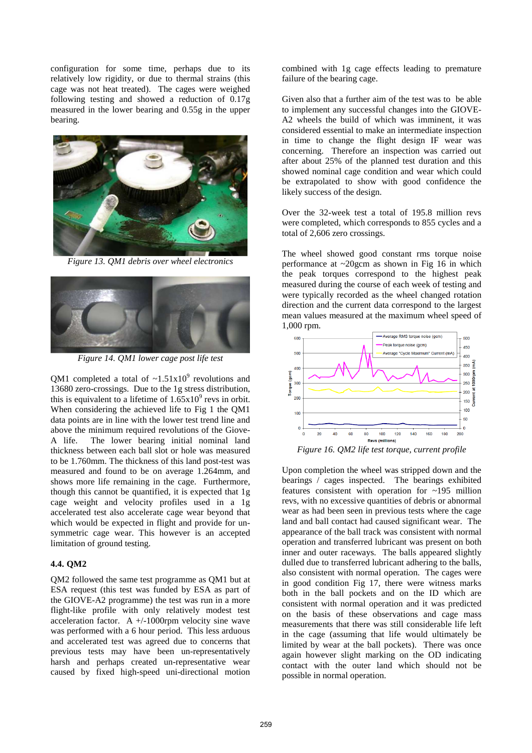configuration for some time, perhaps due to its relatively low rigidity, or due to thermal strains (this cage was not heat treated). The cages were weighed following testing and showed a reduction of 0.17g measured in the lower bearing and 0.55g in the upper bearing.



*Figure 13. QM1 debris over wheel electronics* 



*Figure 14. QM1 lower cage post life test* 

QM1 completed a total of  $\sim$ 1.51x10<sup>9</sup> revolutions and 13680 zero-crossings. Due to the 1g stress distribution, this is equivalent to a lifetime of  $1.65x10^9$  revs in orbit. When considering the achieved life to Fig 1 the OM1 data points are in line with the lower test trend line and above the minimum required revolutions of the Giove-A life. The lower bearing initial nominal land thickness between each ball slot or hole was measured to be 1.760mm. The thickness of this land post-test was measured and found to be on average 1.264mm, and shows more life remaining in the cage. Furthermore, though this cannot be quantified, it is expected that 1g cage weight and velocity profiles used in a 1g accelerated test also accelerate cage wear beyond that which would be expected in flight and provide for unsymmetric cage wear. This however is an accepted limitation of ground testing.

#### **4.4. QM2**

QM2 followed the same test programme as QM1 but at ESA request (this test was funded by ESA as part of the GIOVE-A2 programme) the test was run in a more flight-like profile with only relatively modest test acceleration factor. A +/-1000rpm velocity sine wave was performed with a 6 hour period. This less arduous and accelerated test was agreed due to concerns that previous tests may have been un-representatively harsh and perhaps created un-representative wear caused by fixed high-speed uni-directional motion combined with 1g cage effects leading to premature failure of the bearing cage.

Given also that a further aim of the test was to be able to implement any successful changes into the GIOVE-A2 wheels the build of which was imminent, it was considered essential to make an intermediate inspection in time to change the flight design IF wear was concerning. Therefore an inspection was carried out after about 25% of the planned test duration and this showed nominal cage condition and wear which could be extrapolated to show with good confidence the likely success of the design.

Over the 32-week test a total of 195.8 million revs were completed, which corresponds to 855 cycles and a total of 2,606 zero crossings.

The wheel showed good constant rms torque noise performance at ~20gcm as shown in Fig 16 in which the peak torques correspond to the highest peak measured during the course of each week of testing and were typically recorded as the wheel changed rotation direction and the current data correspond to the largest mean values measured at the maximum wheel speed of 1,000 rpm.



Upon completion the wheel was stripped down and the bearings / cages inspected. The bearings exhibited features consistent with operation for ~195 million revs, with no excessive quantities of debris or abnormal wear as had been seen in previous tests where the cage land and ball contact had caused significant wear. The appearance of the ball track was consistent with normal operation and transferred lubricant was present on both inner and outer raceways. The balls appeared slightly dulled due to transferred lubricant adhering to the balls, also consistent with normal operation. The cages were in good condition Fig 17, there were witness marks both in the ball pockets and on the ID which are consistent with normal operation and it was predicted on the basis of these observations and cage mass measurements that there was still considerable life left in the cage (assuming that life would ultimately be limited by wear at the ball pockets). There was once again however slight marking on the OD indicating contact with the outer land which should not be possible in normal operation.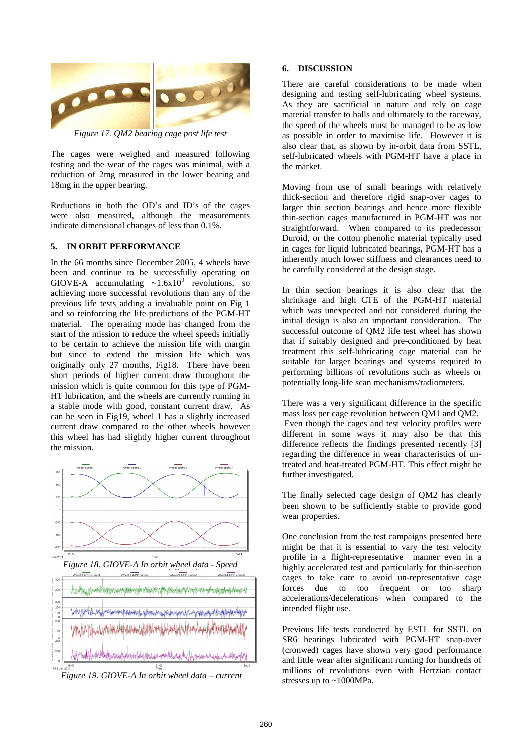

*Figure 17. QM2 bearing cage post life test* 

The cages were weighed and measured following testing and the wear of the cages was minimal, with a reduction of 2mg measured in the lower bearing and 18mg in the upper bearing.

Reductions in both the OD's and ID's of the cages were also measured, although the measurements indicate dimensional changes of less than 0.1%.

#### **5. IN ORBIT PERFORMANCE**

In the 66 months since December 2005, 4 wheels have been and continue to be successfully operating on GIOVE-A accumulating  $\sim 1.6 \times 10^9$  revolutions, so achieving more successful revolutions than any of the previous life tests adding a invaluable point on Fig 1 and so reinforcing the life predictions of the PGM-HT material. The operating mode has changed from the start of the mission to reduce the wheel speeds initially to be certain to achieve the mission life with margin but since to extend the mission life which was originally only 27 months, Fig18. There have been short periods of higher current draw throughout the mission which is quite common for this type of PGM-HT lubrication, and the wheels are currently running in a stable mode with good, constant current draw. As can be seen in Fig19, wheel 1 has a slightly increased current draw compared to the other wheels however this wheel has had slightly higher current throughout the mission.



 *Figure 19. GIOVE-A In orbit wheel data – current* 

#### **6. DISCUSSION**

There are careful considerations to be made when designing and testing self-lubricating wheel systems. As they are sacrificial in nature and rely on cage material transfer to balls and ultimately to the raceway, the speed of the wheels must be managed to be as low as possible in order to maximise life. However it is also clear that, as shown by in-orbit data from SSTL, self-lubricated wheels with PGM-HT have a place in the market.

Moving from use of small bearings with relatively thick-section and therefore rigid snap-over cages to larger thin section bearings and hence more flexible thin-section cages manufactured in PGM-HT was not straightforward. When compared to its predecessor Duroid, or the cotton phenolic material typically used in cages for liquid lubricated bearings, PGM-HT has a inherently much lower stiffness and clearances need to be carefully considered at the design stage.

In thin section bearings it is also clear that the shrinkage and high CTE of the PGM-HT material which was unexpected and not considered during the initial design is also an important consideration. The successful outcome of QM2 life test wheel has shown that if suitably designed and pre-conditioned by heat treatment this self-lubricating cage material can be suitable for larger bearings and systems required to performing billions of revolutions such as wheels or potentially long-life scan mechanisms/radiometers.

There was a very significant difference in the specific mass loss per cage revolution between QM1 and QM2. Even though the cages and test velocity profiles were different in some ways it may also be that this difference reflects the findings presented recently [3] regarding the difference in wear characteristics of untreated and heat-treated PGM-HT. This effect might be further investigated.

The finally selected cage design of QM2 has clearly been shown to be sufficiently stable to provide good wear properties.

One conclusion from the test campaigns presented here might be that it is essential to vary the test velocity profile in a flight-representative manner even in a highly accelerated test and particularly for thin-section cages to take care to avoid un-representative cage forces due to too frequent or too sharp accelerations/decelerations when compared to the intended flight use.

Previous life tests conducted by ESTL for SSTL on SR6 bearings lubricated with PGM-HT snap-over (cronwed) cages have shown very good performance and little wear after significant running for hundreds of millions of revolutions even with Hertzian contact stresses up to ~1000MPa.